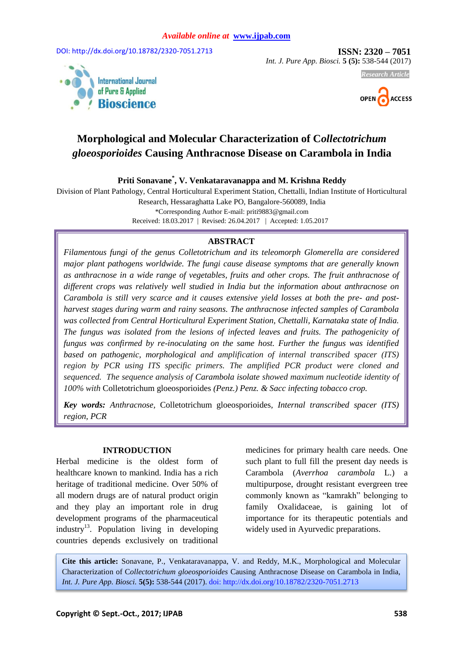DOI: http://dx.doi.org/10.18782/2320-7051.2713 **ISSN: 2320 – 7051** 

*Int. J. Pure App. Biosci.* **5 (5):** 538-544 (2017)



# OPEN ACCESS

*Research Article*

## **Morphological and Molecular Characterization of C***ollectotrichum gloeosporioides* **Causing Anthracnose Disease on Carambola in India**

**Priti Sonavane\* , V. Venkataravanappa and M. Krishna Reddy**

Division of Plant Pathology, Central Horticultural Experiment Station, Chettalli, Indian Institute of Horticultural Research, Hessaraghatta Lake PO, Bangalore-560089, India \*Corresponding Author E-mail: priti9883@gmail.com Received: 18.03.2017 | Revised: 26.04.2017 | Accepted: 1.05.2017

### **ABSTRACT**

*Filamentous fungi of the genus Colletotrichum and its teleomorph Glomerella are considered major plant pathogens worldwide. The fungi cause disease symptoms that are generally known as anthracnose in a wide range of vegetables, fruits and other crops. The fruit anthracnose of different crops was relatively well studied in India but the information about anthracnose on Carambola is still very scarce and it causes extensive yield losses at both the pre- and postharvest stages during warm and rainy seasons. The anthracnose infected samples of Carambola was collected from Central Horticultural Experiment Station, Chettalli, Karnataka state of India. The fungus was isolated from the lesions of infected leaves and fruits. The pathogenicity of fungus was confirmed by re-inoculating on the same host. Further the fungus was identified based on pathogenic, morphological and amplification of internal transcribed spacer (ITS) region by PCR using ITS specific primers. The amplified PCR product were cloned and sequenced. The sequence analysis of Carambola isolate showed maximum nucleotide identity of 100% with* Colletotrichum gloeosporioides *(Penz.) Penz. & Sacc infecting tobacco crop.* 

*Key words: Anthracnose,* Colletotrichum gloeosporioides*, Internal transcribed spacer (ITS) region, PCR*

### **INTRODUCTION**

Herbal medicine is the oldest form of healthcare known to mankind. India has a rich heritage of traditional medicine. Over 50% of all modern drugs are of natural product origin and they play an important role in drug development programs of the pharmaceutical industry<sup>13</sup>. Population living in developing countries depends exclusively on traditional

medicines for primary health care needs. One such plant to full fill the present day needs is Carambola (*Averrhoa carambola* L.) a multipurpose, drought resistant evergreen tree commonly known as "kamrakh" belonging to family Oxalidaceae, is gaining lot of importance for its therapeutic potentials and widely used in Ayurvedic preparations.

**Cite this article:** Sonavane, P., Venkataravanappa, V. and Reddy, M.K., Morphological and Molecular Characterization of C*ollectotrichum gloeosporioides* Causing Anthracnose Disease on Carambola in India, *Int. J. Pure App. Biosci.* **5(5):** 538-544 (2017). doi: http://dx.doi.org/10.18782/2320-7051.2713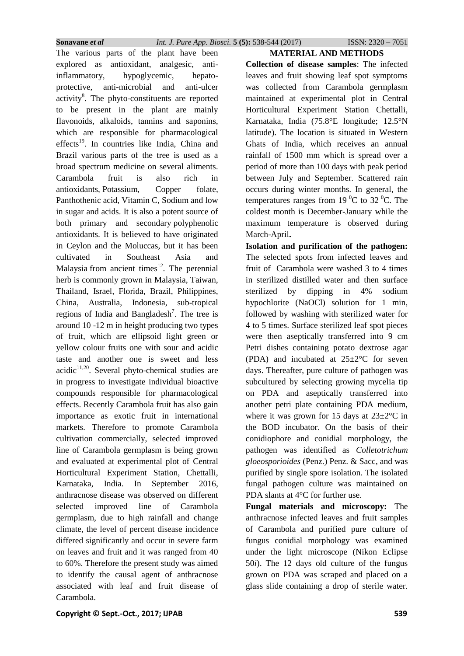The various parts of the plant have been explored as antioxidant, analgesic, antiinflammatory, hypoglycemic, hepatoprotective, anti-microbial and anti-ulcer activity<sup>8</sup>. The phyto-constituents are reported to be present in the plant are mainly flavonoids, alkaloids, tannins and saponins, which are responsible for pharmacological effects<sup>19</sup>. In countries like India, China and Brazil various parts of the tree is used as a broad spectrum medicine on several aliments. Carambola fruit is also rich in antioxidants, Potassium, Copper folate, Panthothenic acid, Vitamin C, Sodium and low in sugar and acids. It is also a potent source of both primary and secondary polyphenolic antioxidants. It is believed to have originated in Ceylon and the Moluccas, but it has been cultivated in Southeast Asia and Malaysia from ancient times $12$ . The perennial herb is commonly grown in Malaysia, Taiwan, Thailand, Israel, Florida, Brazil, Philippines, China, Australia, Indonesia, sub-tropical regions of India and Bangladesh<sup>7</sup>. The tree is around 10 -12 m in height producing two types of fruit, which are ellipsoid light green or yellow colour fruits one with sour and acidic taste and another one is sweet and less acidic $11,20$ . Several phyto-chemical studies are in progress to investigate individual bioactive compounds responsible for pharmacological effects. Recently Carambola fruit has also gain importance as exotic fruit in international markets. Therefore to promote Carambola cultivation commercially, selected improved line of Carambola germplasm is being grown and evaluated at experimental plot of Central Horticultural Experiment Station, Chettalli, Karnataka, India. In September 2016, anthracnose disease was observed on different selected improved line of Carambola germplasm, due to high rainfall and change climate, the level of percent disease incidence differed significantly and occur in severe farm on leaves and fruit and it was ranged from 40 to 60%. Therefore the present study was aimed to identify the causal agent of anthracnose associated with leaf and fruit disease of Carambola.

**MATERIAL AND METHODS**

**Collection of disease samples**: The infected leaves and fruit showing leaf spot symptoms was collected from Carambola germplasm maintained at experimental plot in Central Horticultural Experiment Station Chettalli, Karnataka, India (75.8°E longitude; 12.5°N latitude). The location is situated in Western Ghats of India, which receives an annual rainfall of 1500 mm which is spread over a period of more than 100 days with peak period between July and September. Scattered rain occurs during winter months. In general, the temperatures ranges from 19  $^0C$  to 32  $^0C$ . The coldest month is December-January while the maximum temperature is observed during March-April**.** 

**Isolation and purification of the pathogen:**  The selected spots from infected leaves and fruit of Carambola were washed 3 to 4 times in sterilized distilled water and then surface sterilized by dipping in 4% sodium hypochlorite (NaOCl) solution for 1 min, followed by washing with sterilized water for 4 to 5 times. Surface sterilized leaf spot pieces were then aseptically transferred into 9 cm Petri dishes containing potato dextrose agar (PDA) and incubated at  $25 \pm 2$ °C for seven days. Thereafter, pure culture of pathogen was subcultured by selecting growing mycelia tip on PDA and aseptically transferred into another petri plate containing PDA medium, where it was grown for 15 days at  $23\pm2\degree$ C in the BOD incubator. On the basis of their conidiophore and conidial morphology, the pathogen was identified as *Colletotrichum gloeosporioides* (Penz.) Penz. & Sacc, and was purified by single spore isolation. The isolated fungal pathogen culture was maintained on PDA slants at 4°C for further use.

**Fungal materials and microscopy:** The anthracnose infected leaves and fruit samples of Carambola and purified pure culture of fungus conidial morphology was examined under the light microscope (Nikon Eclipse 50*i*). The 12 days old culture of the fungus grown on PDA was scraped and placed on a glass slide containing a drop of sterile water.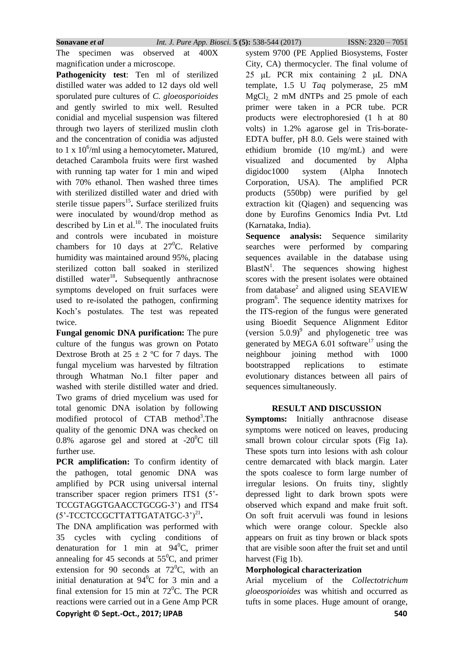**Sonavane** *et al Int. J. Pure App. Biosci.* **5 (5):** 538-544 (2017) ISSN: 2320 – 7051

The specimen was observed at 400X magnification under a microscope.

**Pathogenicity test**: Ten ml of sterilized distilled water was added to 12 days old well sporulated pure cultures of *C. gloeosporioides* and gently swirled to mix well. Resulted conidial and mycelial suspension was filtered through two layers of sterilized muslin cloth and the concentration of conidia was adjusted to 1 x 10<sup>6</sup>/ml using a hemocytometer. Matured, detached Carambola fruits were first washed with running tap water for 1 min and wiped with 70% ethanol. Then washed three times with sterilized distilled water and dried with sterile tissue papers<sup>15</sup>. Surface sterilized fruits were inoculated by wound/drop method as described by Lin et al. $^{10}$ . The inoculated fruits and controls were incubated in moisture chambers for 10 days at  $27^{\circ}$ C. Relative humidity was maintained around 95%, placing sterilized cotton ball soaked in sterilized distilled water<sup>18</sup>. Subsequently anthracnose symptoms developed on fruit surfaces were used to re-isolated the pathogen, confirming Koch's postulates. The test was repeated twice.

**Fungal genomic DNA purification:** The pure culture of the fungus was grown on Potato Dextrose Broth at  $25 \pm 2$  °C for 7 days. The fungal mycelium was harvested by filtration through Whatman No.1 filter paper and washed with sterile distilled water and dried. Two grams of dried mycelium was used for total genomic DNA isolation by following modified protocol of CTAB method<sup>3</sup>. The quality of the genomic DNA was checked on 0.8% agarose gel and stored at  $-20^0C$  till further use.

**PCR** amplification: To confirm identity of the pathogen, total genomic DNA was amplified by PCR using universal internal transcriber spacer region primers ITS1 (5'- TCCGTAGGTGAACCTGCGG-3') and ITS4  $(5'$ -TCCTCCGCTTATTGATATGC-3')<sup>21</sup>.

**Copyright © Sept.-Oct., 2017; IJPAB 540** The DNA amplification was performed with 35 cycles with cycling conditions of denaturation for 1 min at  $94^{\circ}$ C, primer annealing for 45 seconds at  $55^{\circ}$ C, and primer extension for 90 seconds at  $72^{\circ}$ C, with an initial denaturation at  $94^{\circ}$ C for 3 min and a final extension for 15 min at  $72^{\circ}$ C. The PCR reactions were carried out in a Gene Amp PCR

system 9700 (PE Applied Biosystems, Foster City, CA) thermocycler. The final volume of 25 μL PCR mix containing 2 μL DNA template, 1.5 U *Taq* polymerase, 25 mM  $MgCl<sub>2</sub>$  2 mM dNTPs and 25 pmole of each primer were taken in a PCR tube. PCR products were electrophoresied (1 h at 80 volts) in 1.2% agarose gel in Tris-borate-EDTA buffer, pH 8.0. Gels were stained with ethidium bromide (10 mg/mL) and were visualized and documented by Alpha digidoc1000 system (Alpha Innotech Corporation, USA). The amplified PCR products (550bp) were purified by gel extraction kit (Qiagen) and sequencing was done by Eurofins Genomics India Pvt. Ltd (Karnataka, India).

**Sequence analysis:** Sequence similarity searches were performed by comparing sequences available in the database using  $BlastN<sup>1</sup>$ . The sequences showing highest scores with the present isolates were obtained from database<sup>2</sup> and aligned using SEAVIEW program<sup>6</sup>. The sequence identity matrixes for the ITS-region of the fungus were generated using Bioedit Sequence Alignment Editor (version  $5.0.9$ <sup>9</sup> and phylogenetic tree was generated by MEGA  $6.01$  software<sup>17</sup> using the neighbour joining method with 1000 bootstrapped replications to estimate evolutionary distances between all pairs of sequences simultaneously.

### **RESULT AND DISCUSSION**

**Symptoms:** Initially anthracnose disease symptoms were noticed on leaves, producing small brown colour circular spots (Fig 1a). These spots turn into lesions with ash colour centre demarcated with black margin. Later the spots coalesce to form large number of irregular lesions. On fruits tiny, slightly depressed light to dark brown spots were observed which expand and make fruit soft. On soft fruit acervuli was found in lesions which were orange colour. Speckle also appears on fruit as tiny brown or black spots that are visible soon after the fruit set and until harvest (Fig 1b).

### **Morphological characterization**

Arial mycelium of the *Collectotrichum gloeosporioides* was whitish and occurred as tufts in some places. Huge amount of orange,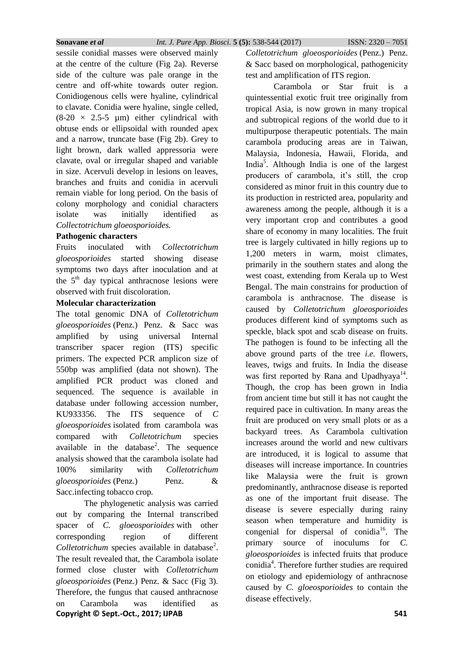sessile conidial masses were observed mainly at the centre of the culture (Fig 2a). Reverse side of the culture was pale orange in the centre and off-white towards outer region. Conidiogenous cells were hyaline, cylindrical to clavate. Conidia were hyaline, single celled,  $(8-20 \times 2.5-5 \text{ um})$  either cylindrical with obtuse ends or ellipsoidal with rounded apex and a narrow, truncate base (Fig 2b). Grey to light brown, dark walled appressoria were clavate, oval or irregular shaped and variable in size. Acervuli develop in lesions on leaves, branches and fruits and conidia in acervuli remain viable for long period. On the basis of colony morphology and conidial characters isolate was initially identified as *Collectotrichum gloeosporioides.*

### **Pathogenic characters**

Fruits inoculated with *Collectotrichum gloeosporioides* started showing disease symptoms two days after inoculation and at the  $5<sup>th</sup>$  day typical anthracnose lesions were observed with fruit discoloration.

### **Molecular characterization**

The total genomic DNA of *Colletotrichum gloeosporioides* (Penz.) Penz. & Sacc was amplified by using universal Internal transcriber spacer region (ITS) specific primers. The expected PCR amplicon size of 550bp was amplified (data not shown). The amplified PCR product was cloned and sequenced. The sequence is available in database under following accession number, KU933356. The ITS sequence of *C gloeosporioides* isolated from carambola was compared with *Colletotrichum* species available in the database<sup>2</sup>. The sequence analysis showed that the carambola isolate had 100% similarity with *Colletotrichum gloeosporioides* (Penz.) Penz. & Sacc*.*infecting tobacco crop*.*

**Copyright © Sept.-Oct., 2017; IJPAB 541** The phylogenetic analysis was carried out by comparing the Internal transcribed spacer of *C. gloeosporioides* with other corresponding region of different Colletotrichum species available in database<sup>2</sup>. The result revealed that, the Carambola isolate formed close cluster with *Colletotrichum gloeosporioides* (Penz.) Penz. & Sacc (Fig 3)*.* Therefore, the fungus that caused anthracnose on Carambola was identified as

*Colletotrichum gloeosporioides* (Penz.) Penz. & Sacc based on morphological, pathogenicity test and amplification of ITS region.

Carambola or Star fruit is a quintessential exotic fruit tree originally from tropical Asia, is now grown in many tropical and subtropical regions of the world due to it multipurpose therapeutic potentials. The main carambola producing areas are in Taiwan, Malaysia, Indonesia, Hawaii, Florida, and India<sup>5</sup>. Although India is one of the largest producers of carambola, it's still, the crop considered as minor fruit in this country due to its production in restricted area, popularity and awareness among the people, although it is a very important crop and contributes a good share of economy in many localities. The fruit tree is largely cultivated in hilly regions up to 1,200 meters in warm, moist climates, primarily in the southern states and along the west coast, extending from Kerala up to West Bengal. The main constrains for production of carambola is anthracnose. The disease is caused by *Colletotrichum gloeosporioides* produces different kind of symptoms such as speckle, black spot and scab disease on fruits. The pathogen is found to be infecting all the above ground parts of the tree *i.e.* flowers, leaves, twigs and fruits. In India the disease was first reported by Rana and Upadhyaya $14$ . Though, the crop has been grown in India from ancient time but still it has not caught the required pace in cultivation. In many areas the fruit are produced on very small plots or as a backyard trees. As Carambola cultivation increases around the world and new cultivars are introduced, it is logical to assume that diseases will increase importance. In countries like Malaysia were the fruit is grown predominantly, anthracnose disease is reported as one of the important fruit disease. The disease is severe especially during rainy season when temperature and humidity is congenial for dispersal of conidia<sup>16</sup>. The primary source of inoculums for *C. gloeosporioides* is infected fruits that produce conidia<sup>4</sup>. Therefore further studies are required on etiology and epidemiology of anthracnose caused by *C. gloeosporioides* to contain the disease effectively.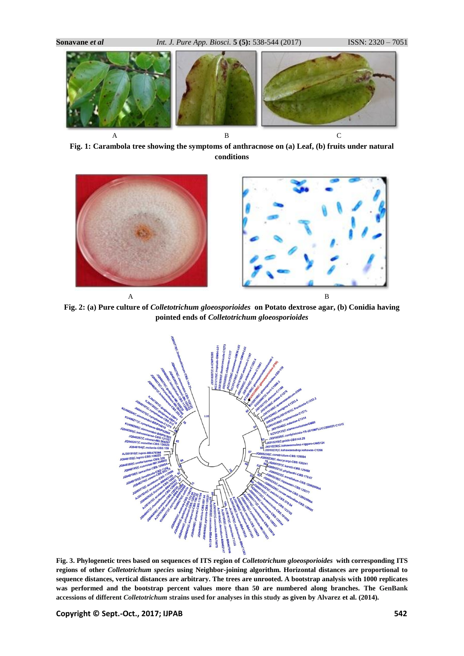**Fig. 1: Carambola tree showing the symptoms of anthracnose on (a) Leaf, (b) fruits under natural conditions**

 $\mathbf A$  B C



**Fig. 2: (a) Pure culture of** *Colletotrichum gloeosporioides* **on Potato dextrose agar, (b) Conidia having pointed ends of** *Colletotrichum gloeosporioides*



**Fig. 3. Phylogenetic trees based on sequences of ITS region of** *Colletotrichum gloeosporioides* **with corresponding ITS regions of other** *Colletotrichum species* **using Neighbor-joining algorithm. Horizontal distances are proportional to sequence distances, vertical distances are arbitrary. The trees are unrooted. A bootstrap analysis with 1000 replicates was performed and the bootstrap percent values more than 50 are numbered along branches. The GenBank accessions of different** *Colletotrichum* **strains used for analyses in this study as given by Alvarez et al. (2014).**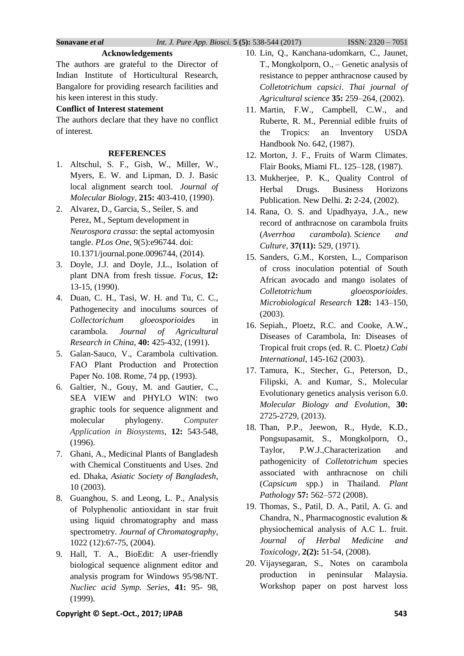### **Acknowledgements**

The authors are grateful to the Director of Indian Institute of Horticultural Research, Bangalore for providing research facilities and his keen interest in this study.

### **Conflict of Interest statement**

The authors declare that they have no conflict of interest.

### **REFERENCES**

- 1. Altschul, S. F., Gish, W., Miller, W., Myers, E. W. and Lipman, D. J. Basic local alignment search tool. *Journal of Molecular Biology*, **215:** 403-410, (1990).
- 2. Alvarez, D., Garcia, S., Seiler, S. and Perez, M., Septum development in *Neurospora crassa*: the septal actomyosin tangle. *PLos One*, 9(5):e96744. doi: 10.1371/journal.pone.0096744, (2014).
- 3. Doyle, J.J. and Doyle, J.L., Isolation of plant DNA from fresh tissue. *Focus,* **12:** 13-15, (1990).
- 4. Duan, C. H., Tasi, W. H. and Tu, C. C., Pathogenecity and inoculums sources of *Collectorichum gloeosporioides* in carambola. *Journal of Agricultural Research in China*, **40:** 425-432, (1991).
- 5. Galan-Sauco, V., Carambola cultivation. FAO Plant Production and Protection Paper No. 108. Rome, 74 pp, (1993).
- 6. Galtier, N., Gouy, M. and Gautier, C., SEA VIEW and PHYLO WIN: two graphic tools for sequence alignment and molecular phylogeny. *Computer Application in Biosystems*, **12:** 543-548, (1996).
- 7. Ghani, A., Medicinal Plants of Bangladesh with Chemical Constituents and Uses. 2nd ed. Dhaka, *Asiatic Society of Bangladesh*, 10 (2003).
- 8. Guanghou, S. and Leong, L. P., Analysis of Polyphenolic antioxidant in star fruit using liquid chromatography and mass spectrometry. *Journal of Chromatography*, 1022 (12):67-75, (2004).
- 9. Hall, T. A., BioEdit: A user-friendly biological sequence alignment editor and analysis program for Windows 95/98/NT. *Nucliec acid Symp. Series*, **41:** 95- 98, (1999).
- 10. Lin, Q., Kanchana-udomkarn, C., Jaunet, T., Mongkolporn, O., – Genetic analysis of resistance to pepper anthracnose caused by *Colletotrichum capsici*. *Thai journal of Agricultural science* **35:** 259–264, (2002).
- 11. Martin, F.W., Campbell, C.W., and Ruberte, R. M., Perennial edible fruits of the Tropics: an Inventory USDA Handbook No. 642, (1987).
- 12. Morton, J. F., Fruits of Warm Climates. Flair Books, Miami FL. 125–128, (1987).
- 13. Mukherjee, P. K., Quality Control of Herbal Drugs. Business Horizons Publication. New Delhi. **2:** 2-24, (2002).
- 14. Rana, O. S. and Upadhyaya, J.A., new record of anthracnose on carambola fruits (*Averrhoa carambola*). *Science and Culture*, **37(11):** 529, (1971).
- 15. Sanders, G.M., Korsten, L., Comparison of cross inoculation potential of South African avocado and mango isolates of *Colletotrichum gloeosporioides*. *Microbiological Research* **128:** 143–150, (2003).
- 16. Sepiah., Ploetz, R.C. and Cooke, A.W., Diseases of Carambola, In: Diseases of Tropical fruit crops (ed. R. C. Ploetz*) Cabi International*, 145-162 (2003).
- 17. Tamura, K., Stecher, G., Peterson, D., Filipski, A. and Kumar, S., Molecular Evolutionary genetics analysis verison 6.0. *Molecular Biology and Evolution*, **30:** 2725-2729, (2013).
- 18. Than, P.P., Jeewon, R., Hyde, K.D., Pongsupasamit, S., Mongkolporn, O., Taylor, P.W.J.,Characterization and pathogenicity of *Colletotrichum* species associated with anthracnose on chili (*Capsicum* spp.) in Thailand. *Plant Pathology* **57:** 562–572 (2008).
- 19. Thomas, S., Patil, D. A., Patil, A. G. and Chandra, N., Pharmacognostic evalution & physiochemical analysis of A.C L. fruit. *Journal of Herbal Medicine and Toxicology*, **2(2):** 51-54, (2008).
- 20. Vijaysegaran, S., Notes on carambola production in peninsular Malaysia. Workshop paper on post harvest loss

**Copyright © Sept.-Oct., 2017; IJPAB 543**